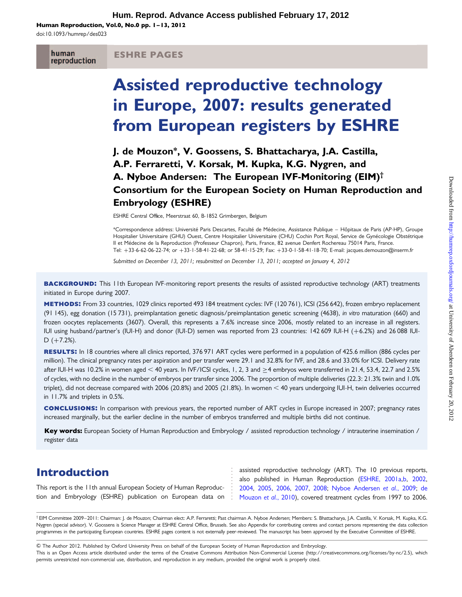Human Reproduction, Vol.0, No.0 pp. 1–13, 2012

doi:10.1093/humrep/des023

human reproduction

#### ESHRE PAGES

# Assisted reproductive technology in Europe, 2007: results generated from European registers by ESHRE

J. de Mouzon\*, V. Goossens, S. Bhattacharya, J.A. Castilla, A.P. Ferraretti, V. Korsak, M. Kupka, K.G. Nygren, and A. Nyboe Andersen: The European IVF-Monitoring (EIM)† Consortium for the European Society on Human Reproduction and Embryology (ESHRE)

ESHRE Central Office, Meerstraat 60, B-1852 Grimbergen, Belgium

\*Correspondence address: Université Paris Descartes, Faculté de Médecine, Assistance Publique – Hôpitaux de Paris (AP-HP), Groupe Hospitalier Universitaire (GHU) Ouest, Centre Hospitalier Universitaire (CHU) Cochin Port Royal, Service de Gynécologie Obstétrique II et Médecine de la Reproduction (Professeur Chapron), Paris, France, 82 avenue Denfert Rochereau 75014 Paris, France. Tel: +33-6-62-06-22-74; or +33-1-58-41-22-68; or 58-41-15-29; Fax: +33-0-1-58-41-18-70; E-mail: jacques.demouzon@inserm.fr

Submitted on December 13, 2011; resubmitted on December 13, 2011; accepted on January 4, 2012

**BACKGROUND:** This 11th European IVF-monitoring report presents the results of assisted reproductive technology (ART) treatments initiated in Europe during 2007.

methods: From 33 countries, 1029 clinics reported 493 184 treatment cycles: IVF (120 761), ICSI (256 642), frozen embryo replacement (91 145), egg donation (15 731), preimplantation genetic diagnosis/preimplantation genetic screening (4638), in vitro maturation (660) and frozen oocytes replacements (3607). Overall, this represents a 7.6% increase since 2006, mostly related to an increase in all registers. IUI using husband/partner's (IUI-H) and donor (IUI-D) semen was reported from 23 countries: 142 609 IUI-H (+6.2%) and 26 088 IUI- $D$  (+7.2%).

RESULTS: In 18 countries where all clinics reported, 376 971 ART cycles were performed in a population of 425.6 million (886 cycles per million). The clinical pregnancy rates per aspiration and per transfer were 29.1 and 32.8% for IVF, and 28.6 and 33.0% for ICSI. Delivery rate after IUI-H was 10.2% in women aged < 40 years. In IVF/ICSI cycles, 1, 2, 3 and  $\geq$ 4 embryos were transferred in 21.4, 53.4, 22.7 and 2.5% of cycles, with no decline in the number of embryos per transfer since 2006. The proportion of multiple deliveries (22.3: 21.3% twin and 1.0% triplet), did not decrease compared with 2006 (20.8%) and 2005 (21.8%). In women  $<$  40 years undergoing IUI-H, twin deliveries occurred in 11.7% and triplets in 0.5%.

conclusions: In comparison with previous years, the reported number of ART cycles in Europe increased in 2007; pregnancy rates increased marginally, but the earlier decline in the number of embryos transferred and multiple births did not continue.

Key words: European Society of Human Reproduction and Embryology / assisted reproduction technology / intrauterine insemination / register data

# Introduction

This report is the 11th annual European Society of Human Reproduction and Embryology (ESHRE) publication on European data on assisted reproductive technology (ART). The 10 previous reports, also published in Human Reproduction ([ESHRE, 2001a,b,](#page-10-0) [2002,](#page-10-0) [2004](#page-10-0), [2005](#page-10-0), [2006](#page-10-0), [2007](#page-10-0), [2008;](#page-10-0) [Nyboe Andersen](#page-10-0) et al., 2009; [de](#page-10-0) [Mouzon](#page-10-0) et al., 2010), covered treatment cycles from 1997 to 2006.

† EIM Committee 2009–2011: Chairman: J. de Mouzon; Chairman elect: A.P. Ferraretti; Past chairman A. Nyboe Andersen; Members: S. Bhattacharya, J.A. Castilla, V. Korsak, M. Kupka, K.G. Nygren (special advisor). V. Goossens is Science Manager at ESHRE Central Office, Brussels. See also Appendix for contributing centres and contact persons representing the data collection programmes in the participating European countries. ESHRE pages content is not externally peer-reviewed. The manuscript has been approved by the Executive Committee of ESHRE.

& The Author 2012. Published by Oxford University Press on behalf of the European Society of Human Reproduction and Embryology.

This is an Open Access article distributed under the terms of the Creative Commons Attribution Non-Commercial License (http://creativecommons.org/licenses/by-nc/2.5), which permits unrestricted non-commercial use, distribution, and reproduction in any medium, provided the original work is properly cited.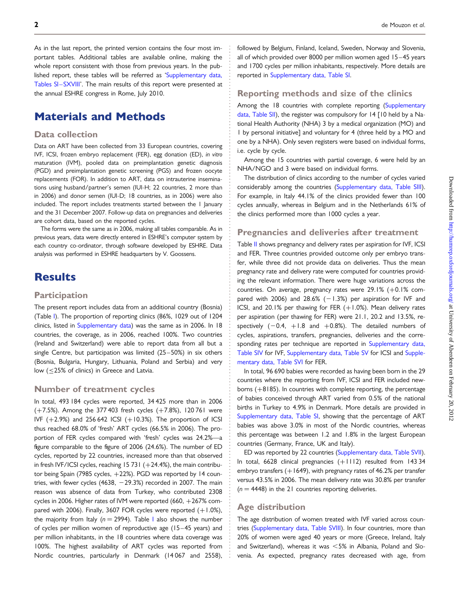As in the last report, the printed version contains the four most important tables. Additional tables are available online, making the whole report consistent with those from previous years. In the published report, these tables will be referred as ['Supplementary data,](http://humrep.oxfordjournals.org/lookup/suppl/doi:10.1093/humrep/des023/-/DC1) Tables SI-SXVIII'. The main results of this report were presented at the annual ESHRE congress in Rome, July 2010.

# Materials and Methods

#### Data collection

Data on ART have been collected from 33 European countries, covering IVF, ICSI, frozen embryo replacement (FER), egg donation (ED), in vitro maturation (IVM), pooled data on preimplantation genetic diagnosis (PGD) and preimplantation genetic screening (PGS) and frozen oocyte replacements (FOR). In addition to ART, data on intrauterine inseminations using husband/partner's semen (IUI-H; 22 countries, 2 more than in 2006) and donor semen (IUI-D; 18 countries, as in 2006) were also included. The report includes treatments started between the 1 January and the 31 December 2007. Follow-up data on pregnancies and deliveries are cohort data, based on the reported cycles.

The forms were the same as in 2006, making all tables comparable. As in previous years, data were directly entered in ESHRE's computer system by each country co-ordinator, through software developed by ESHRE. Data analysis was performed in ESHRE headquarters by V. Goossens.

# **Results**

#### **Participation**

The present report includes data from an additional country (Bosnia) (Table [I](#page-2-0)). The proportion of reporting clinics (86%, 1029 out of 1204 clinics, listed in [Supplementary data\)](http://humrep.oxfordjournals.org/lookup/suppl/doi:10.1093/humrep/des023/-/DC1) was the same as in 2006. In 18 countries, the coverage, as in 2006, reached 100%. Two countries (Ireland and Switzerland) were able to report data from all but a single Centre, but participation was limited (25 –50%) in six others (Bosnia, Bulgaria, Hungary, Lithuania, Poland and Serbia) and very low (≤25% of clinics) in Greece and Latvia.

#### Number of treatment cycles

In total, 493 184 cycles were reported, 34 425 more than in 2006  $(+7.5%)$ . Among the 377 403 fresh cycles  $(+7.8%)$ , 120 761 were IVF  $(+2.9%)$  and 256 642 ICSI  $(+10.3%)$ . The proportion of ICSI thus reached 68.0% of 'fresh' ART cycles (66.5% in 2006). The proportion of FER cycles compared with 'fresh' cycles was 24.2%—a figure comparable to the figure of 2006 (24.6%). The number of ED cycles, reported by 22 countries, increased more than that observed in fresh IVF/ICSI cycles, reaching 15 731  $(+24.4%)$ , the main contributor being Spain (7985 cycles, +22%). PGD was reported by 14 countries, with fewer cycles  $(4638, -29.3%)$  recorded in 2007. The main reason was absence of data from Turkey, who contributed 2308 cycles in 2006. Higher rates of IVM were reported (660, +267% compared with 2006). Finally, 3607 FOR cycles were reported  $(+1.0\%)$ , the majority from [I](#page-2-0)taly ( $n = 2994$ ). Table I also shows the number of cycles per million women of reproductive age (15 –45 years) and per million inhabitants, in the 18 countries where data coverage was 100%. The highest availability of ART cycles was reported from Nordic countries, particularly in Denmark (14 067 and 2558),

followed by Belgium, Finland, Iceland, Sweden, Norway and Slovenia, all of which provided over 8000 per million women aged 15 –45 years and 1700 cycles per million inhabitants, respectively. More details are reported in [Supplementary data, Table SI](http://humrep.oxfordjournals.org/lookup/suppl/doi:10.1093/humrep/des023/-/DC1).

#### Reporting methods and size of the clinics

Among the 18 countries with complete reporting ([Supplementary](http://humrep.oxfordjournals.org/lookup/suppl/doi:10.1093/humrep/des023/-/DC1) [data, Table SII](http://humrep.oxfordjournals.org/lookup/suppl/doi:10.1093/humrep/des023/-/DC1)), the register was compulsory for 14 [10 held by a National Health Authority (NHA) 3 by a medical organization (MO) and 1 by personal initiative] and voluntary for 4 (three held by a MO and one by a NHA). Only seven registers were based on individual forms, i.e. cycle by cycle.

Among the 15 countries with partial coverage, 6 were held by an NHA/NGO and 3 were based on individual forms.

The distribution of clinics according to the number of cycles varied considerably among the countries [\(Supplementary data, Table SIII](http://humrep.oxfordjournals.org/lookup/suppl/doi:10.1093/humrep/des023/-/DC1)). For example, in Italy 44.1% of the clinics provided fewer than 100 cycles annually, whereas in Belgium and in the Netherlands 61% of the clinics performed more than 1000 cycles a year.

#### Pregnancies and deliveries after treatment

Table [II](#page-4-0) shows pregnancy and delivery rates per aspiration for IVF, ICSI and FER. Three countries provided outcome only per embryo transfer, while three did not provide data on deliveries. Thus the mean pregnancy rate and delivery rate were computed for countries providing the relevant information. There were huge variations across the countries. On average, pregnancy rates were 29.1% (+0.1% compared with 2006) and 28.6%  $(-1.3%)$  per aspiration for IVF and ICSI, and 20.1% per thawing for FER  $(+1.0%)$ . Mean delivery rates per aspiration (per thawing for FER) were 21.1, 20.2 and 13.5%, respectively  $(-0.4, +1.8$  and  $+0.8%$ ). The detailed numbers of cycles, aspirations, transfers, pregnancies, deliveries and the corresponding rates per technique are reported in [Supplementary data,](http://humrep.oxfordjournals.org/lookup/suppl/doi:10.1093/humrep/des023/-/DC1) [Table SIV](http://humrep.oxfordjournals.org/lookup/suppl/doi:10.1093/humrep/des023/-/DC1) for IVF, [Supplementary data, Table SV](http://humrep.oxfordjournals.org/lookup/suppl/doi:10.1093/humrep/des023/-/DC1) for ICSI and [Supple](http://humrep.oxfordjournals.org/lookup/suppl/doi:10.1093/humrep/des023/-/DC1)[mentary data, Table SVI](http://humrep.oxfordjournals.org/lookup/suppl/doi:10.1093/humrep/des023/-/DC1) for FER.

In total, 96 690 babies were recorded as having been born in the 29 countries where the reporting from IVF, ICSI and FER included newborns (+8185). In countries with complete reporting, the percentage of babies conceived through ART varied from 0.5% of the national births in Turkey to 4.9% in Denmark. More details are provided in [Supplementary data, Table SI](http://humrep.oxfordjournals.org/lookup/suppl/doi:10.1093/humrep/des023/-/DC1), showing that the percentage of ART babies was above 3.0% in most of the Nordic countries, whereas this percentage was between 1.2 and 1.8% in the largest European countries (Germany, France, UK and Italy).

ED was reported by 22 countries ([Supplementary data, Table SVII](http://humrep.oxfordjournals.org/lookup/suppl/doi:10.1093/humrep/des023/-/DC1)). In total, 6628 clinical pregnancies (+1112) resulted from 143 34 embryo transfers  $(+1649)$ , with pregnancy rates of 46.2% per transfer versus 43.5% in 2006. The mean delivery rate was 30.8% per transfer  $(n = 4448)$  in the 21 countries reporting deliveries.

#### Age distribution

The age distribution of women treated with IVF varied across countries [\(Supplementary data, Table SVIII](http://humrep.oxfordjournals.org/lookup/suppl/doi:10.1093/humrep/des023/-/DC1)). In four countries, more than 20% of women were aged 40 years or more (Greece, Ireland, Italy and Switzerland), whereas it was  $< 5\%$  in Albania, Poland and Slovenia. As expected, pregnancy rates decreased with age, from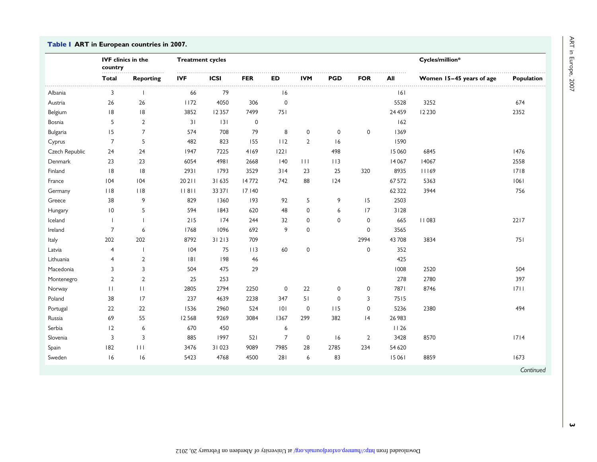#### <span id="page-2-0"></span>Table I ART in European countries in 2007.

|                | <b>IVF</b> clinics in the<br>country<br>.<br>. |                          | <b>Treatment cycles</b> |             |                 |                |                |             |                |          | Cycles/million*          |            |
|----------------|------------------------------------------------|--------------------------|-------------------------|-------------|-----------------|----------------|----------------|-------------|----------------|----------|--------------------------|------------|
|                | Total                                          | <b>Reporting</b>         | <b>IVF</b>              | <b>ICSI</b> | <b>FER</b><br>. | <b>ED</b>      | <b>IVM</b>     | PGD         | <b>FOR</b>     | All      | Women 15-45 years of age | Population |
| Albania        | 3                                              |                          | 66                      | 79          |                 | 16             |                |             |                | 6        |                          |            |
| Austria        | 26                                             | 26                       | 1172                    | 4050        | 306             | $\mathbf 0$    |                |             |                | 5528     | 3252                     | 674        |
| Belgium        | 8                                              | 8                        | 3852                    | 12357       | 7499            | 751            |                |             |                | 24 4 5 9 | 12 2 30                  | 2352       |
| Bosnia         | 5                                              | $\overline{2}$           | 31                      | 3           | 0               |                |                |             |                | 162      |                          |            |
| Bulgaria       | 15                                             | $\overline{7}$           | 574                     | 708         | 79              | 8              | $\mathbf 0$    | $\mathbf 0$ | 0              | 1369     |                          |            |
| Cyprus         | $\overline{7}$                                 | 5                        | 482                     | 823         | 155             | 112            | $\overline{2}$ | 16          |                | 1590     |                          |            |
| Czech Republic | 24                                             | 24                       | 1947                    | 7225        | 4169            | 1221           |                | 498         |                | 15060    | 6845                     | 1476       |
| Denmark        | 23                                             | 23                       | 6054                    | 4981        | 2668            | 40             | $\mathbf{H}$   | 113         |                | 14067    | 14067                    | 2558       |
| Finland        | 8                                              | 8                        | 2931                    | 1793        | 3529            | 314            | 23             | 25          | 320            | 8935     | 11169                    | 1718       |
| France         | 104                                            | 104                      | 20211                   | 31635       | 14772           | 742            | 88             | 124         |                | 67572    | 5363                     | 1061       |
| Germany        | $ $ $ $ $ $ 8                                  | 118                      | 11811                   | 33 37 1     | 17 140          |                |                |             |                | 62322    | 3944                     | 756        |
| Greece         | 38                                             | 9                        | 829                     | 1360        | 193             | 92             | 5              | 9           | 15             | 2503     |                          |            |
| Hungary        | 10                                             | 5                        | 594                     | 1843        | 620             | 48             | $\mathbf 0$    | 6           | 17             | 3128     |                          |            |
| Iceland        |                                                | $\overline{\phantom{a}}$ | 215                     | 174         | 244             | 32             | $\mathbf 0$    | $\mathbf 0$ | 0              | 665      | <b>II083</b>             | 2217       |
| Ireland        | 7                                              | 6                        | 1768                    | 1096        | 692             | 9              | $\mathbf 0$    |             | $\mathbf 0$    | 3565     |                          |            |
| Italy          | 202                                            | 202                      | 8792                    | 31213       | 709             |                |                |             | 2994           | 43708    | 3834                     | 751        |
| Latvia         | 4                                              | $\overline{\phantom{a}}$ | 104                     | 75          | 113             | 60             | $\pmb{0}$      |             | 0              | 352      |                          |            |
| Lithuania      | 4                                              | $\overline{2}$           | 8                       | 198         | 46              |                |                |             |                | 425      |                          |            |
| Macedonia      | 3                                              | 3                        | 504                     | 475         | 29              |                |                |             |                | 1008     | 2520                     | 504        |
| Montenegro     | $\overline{2}$                                 | $\overline{2}$           | 25                      | 253         |                 |                |                |             |                | 278      | 2780                     | 397        |
| Norway         | $\perp$                                        | $\mathbf{H}$             | 2805                    | 2794        | 2250            | $\mathbf 0$    | 22             | 0           | 0              | 7871     | 8746                     | 1711       |
| Poland         | 38                                             | 17                       | 237                     | 4639        | 2238            | 347            | 51             | $\mathbf 0$ | 3              | 7515     |                          |            |
| Portugal       | 22                                             | $22\,$                   | 1536                    | 2960        | 524             | 0              | $\mathbf 0$    | 115         | 0              | 5236     | 2380                     | 494        |
| Russia         | 69                                             | 55                       | 12568                   | 9269        | 3084            | 1367           | 299            | 382         | 4              | 26 983   |                          |            |
| Serbia         | 12                                             | 6                        | 670                     | 450         |                 | 6              |                |             |                | 1126     |                          |            |
| Slovenia       | 3                                              | $\overline{3}$           | 885                     | 1997        | 521             | $\overline{7}$ | $\mathbf 0$    | 16          | $\overline{2}$ | 3428     | 8570                     | 1714       |
| Spain          | 182                                            | 111                      | 3476                    | 31023       | 9089            | 7985           | 28             | 2785        | 234            | 54 6 20  |                          |            |
| Sweden         | 16                                             | 16                       | 5423                    | 4768        | 4500            | 281            | 6              | 83          |                | 15061    | 8859                     | 1673       |
|                |                                                |                          |                         |             |                 |                |                |             |                |          |                          | Continued  |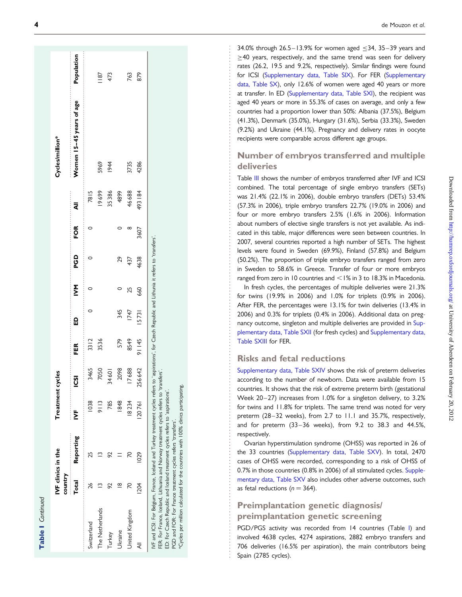| ī |  |
|---|--|
|   |  |
|   |  |

|                 | IVF clinics in the<br>country |           | Treatment cycles |          |        |             |     |          |             |         | Cycles/million*          |                |
|-----------------|-------------------------------|-----------|------------------|----------|--------|-------------|-----|----------|-------------|---------|--------------------------|----------------|
|                 | Total                         | Reporting | <br>₿            | <u>წ</u> | FER    | ۵           | ŠМ  | OP<br>Po | FOR         | .<br>₹  | Women 15-45 years of age | Population     |
| Switzerland     | $^{26}$                       | 25        | 1038             | 3465     | 3312   | <br>$\circ$ |     |          | <br>$\circ$ | 7815    |                          | .              |
| The Netherlands |                               |           | 9113             | 7050     | 3536   |             |     |          |             | 19699   | 5969                     | $\frac{18}{2}$ |
| Turkey          | 92                            |           | 785              | 34601    |        |             |     |          |             | 35386   | 1944                     | 473            |
| Ukraine         | ≌                             |           | 1848             | 2098     | 579    | 345         |     | 29       |             | 4899    |                          |                |
| United Kingdom  | 20                            | 20        | 18234            | 17688    | 8549   | 1747        | 25  | 437      | ∞           | 46688   | 3735                     | 763            |
|                 | <b>204</b>                    | 1029      | 120761           | 256642   | 91 145 | 15731       | 660 | 4638     | 3607        | 493 184 | 4286                     | 879            |

\*Cycles per million calculated for the countries with 100% clinics participating.

\*Cycles per million calculated for the countries with 100% clinics participating.

 $34.0\%$  through  $26.5-13.9\%$  for women aged  $\leq$ 34, 35–39 years and ≥40 years, respectively, and the same trend was seen for delivery rates (26.2, 19.5 and 9.2%, respectively). Similar findings were found for ICSI ([Supplementary data, Table SIX](http://humrep.oxfordjournals.org/lookup/suppl/doi:10.1093/humrep/des023/-/DC1)). For FER [\(Supplementary](http://humrep.oxfordjournals.org/lookup/suppl/doi:10.1093/humrep/des023/-/DC1) [data, Table SX\)](http://humrep.oxfordjournals.org/lookup/suppl/doi:10.1093/humrep/des023/-/DC1), only 12.6% of women were aged 40 years or more at transfer. In ED [\(Supplementary data, Table SXI](http://humrep.oxfordjournals.org/lookup/suppl/doi:10.1093/humrep/des023/-/DC1)), the recipient was aged 40 years or more in 55.3% of cases on average, and only a few countries had a proportion lower than 50%: Albania (37.5%), Belgium (41.3%), Denmark (35.0%), Hungary (31.6%), Serbia (33.3%), Sweden (9.2%) and Ukraine (44.1%). Pregnancy and delivery rates in oocyte recipients were comparable across different age groups.

### Number of embryos transferred and multiple deliveries

Table [III](#page-6-0) shows the number of embryos transferred after IVF and ICSI combined. The total percentage of single embryo transfers (SETs) was 21.4% (22.1% in 2006), double embryo transfers (DETs) 53.4% (57.3% in 2006), triple embryo transfers 22.7% (19.0% in 2006) and four or more embryo transfers 2.5% (1.6% in 2006). Information about numbers of elective single transfers is not yet available. As indicated in this table, major differences were seen between countries. In 2007, several countries reported a high number of SETs. The highest levels were found in Sweden (69.9%), Finland (57.8%) and Belgium (50.2%). The proportion of triple embryo transfers ranged from zero in Sweden to 58.6% in Greece. Transfer of four or more embryos ranged from zero in 10 countries and  $\leq$  1% in 3 to 18.3% in Macedonia.

In fresh cycles, the percentages of multiple deliveries were 21.3% for twins (19.9% in 2006) and 1.0% for triplets (0.9% in 2006). After FER, the percentages were 13.1% for twin deliveries (13.4% in 2006) and 0.3% for triplets (0.4% in 2006). Additional data on pregnancy outcome, singleton and multiple deliveries are provided in [Sup](http://humrep.oxfordjournals.org/lookup/suppl/doi:10.1093/humrep/des023/-/DC1)[plementary data, Table SXII](http://humrep.oxfordjournals.org/lookup/suppl/doi:10.1093/humrep/des023/-/DC1) (for fresh cycles) and [Supplementary data,](http://humrep.oxfordjournals.org/lookup/suppl/doi:10.1093/humrep/des023/-/DC1) [Table SXIII](http://humrep.oxfordjournals.org/lookup/suppl/doi:10.1093/humrep/des023/-/DC1) for FER.

#### Risks and fetal reductions

[Supplementary data, Table SXIV](http://humrep.oxfordjournals.org/lookup/suppl/doi:10.1093/humrep/des023/-/DC1) shows the risk of preterm deliveries according to the number of newborn. Data were available from 15 countries. It shows that the risk of extreme preterm birth (gestational Week 20–27) increases from 1.0% for a singleton delivery, to 3.2% for twins and 11.8% for triplets. The same trend was noted for very preterm (28–32 weeks), from 2.7 to 11.1 and 35.7%, respectively, and for preterm (33-36 weeks), from 9.2 to 38.3 and 44.5%, respectively.

Ovarian hyperstimulation syndrome (OHSS) was reported in 26 of the 33 countries [\(Supplementary data, Table SXV](http://humrep.oxfordjournals.org/lookup/suppl/doi:10.1093/humrep/des023/-/DC1)). In total, 2470 cases of OHSS were recorded, corresponding to a risk of OHSS of 0.7% in those countries (0.8% in 2006) of all stimulated cycles. [Supple](http://humrep.oxfordjournals.org/lookup/suppl/doi:10.1093/humrep/des023/-/DC1)[mentary data, Table SXV](http://humrep.oxfordjournals.org/lookup/suppl/doi:10.1093/humrep/des023/-/DC1) also includes other adverse outcomes, such as fetal reductions ( $n = 364$ ).

### Preimplantation genetic diagnosis/ preimplantation genetic screening

PGD/PGS activity was recorded from 14 countries (Table [I\)](#page-2-0) and involved 4638 cycles, 4274 aspirations, 2882 embryo transfers and 706 deliveries (16.5% per aspiration), the main contributors being Spain (2785 cycles).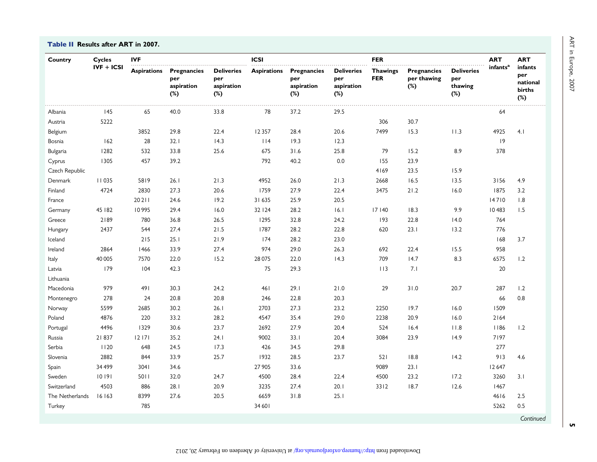<span id="page-4-0"></span>Table II Results after ART in 2007.

| Country         | <b>Cycles</b> | <b>IVF</b>         |                                                |                                               | <b>ICSI</b>        |                                                 |                                                  | <b>FER</b>                    |                                             |                                              | <b>ART</b>           | <b>ART</b>                                     |
|-----------------|---------------|--------------------|------------------------------------------------|-----------------------------------------------|--------------------|-------------------------------------------------|--------------------------------------------------|-------------------------------|---------------------------------------------|----------------------------------------------|----------------------|------------------------------------------------|
|                 | $IVF + ICSI$  | <b>Aspirations</b> | <b>Pregnancies</b><br>per<br>aspiration<br>(%) | <b>Deliveries</b><br>per<br>aspiration<br>(%) | <b>Aspirations</b> | Pregnancies<br>per<br>aspiration<br>$(\%)$<br>. | <b>Deliveries</b><br>per<br>aspiration<br>$(\%)$ | <b>Thawings</b><br><b>FER</b> | <b>Pregnancies</b><br>per thawing<br>$(\%)$ | <b>Deliveries</b><br>per<br>thawing<br>$(*)$ | infants <sup>a</sup> | infants<br>per<br>national<br>births<br>$(\%)$ |
| Albania         | 145           | 65                 | 40.0                                           | 33.8                                          | 78                 | 37.2                                            | 29.5                                             |                               |                                             |                                              | 64                   |                                                |
| Austria         | 5222          |                    |                                                |                                               |                    |                                                 |                                                  | 306                           | 30.7                                        |                                              |                      |                                                |
| Belgium         |               | 3852               | 29.8                                           | 22.4                                          | 12357              | 28.4                                            | 20.6                                             | 7499                          | 15.3                                        | 11.3                                         | 4925                 | 4.1                                            |
| Bosnia          | 162           | 28                 | 32.1                                           | 14.3                                          | $ $   4            | 19.3                                            | 12.3                                             |                               |                                             |                                              | 9                    |                                                |
| Bulgaria        | 1282          | 532                | 33.8                                           | 25.6                                          | 675                | 31.6                                            | 25.8                                             | 79                            | 15.2                                        | 8.9                                          | 378                  |                                                |
| Cyprus          | 1305          | 457                | 39.2                                           |                                               | 792                | 40.2                                            | $0.0\,$                                          | 155                           | 23.9                                        |                                              |                      |                                                |
| Czech Republic  |               |                    |                                                |                                               |                    |                                                 |                                                  | 4169                          | 23.5                                        | 15.9                                         |                      |                                                |
| Denmark         | 11035         | 5819               | 26.1                                           | 21.3                                          | 4952               | 26.0                                            | 21.3                                             | 2668                          | 16.5                                        | 13.5                                         | 3156                 | 4.9                                            |
| Finland         | 4724          | 2830               | 27.3                                           | 20.6                                          | 1759               | 27.9                                            | 22.4                                             | 3475                          | 21.2                                        | 16.0                                         | 1875                 | 3.2                                            |
| France          |               | 20211              | 24.6                                           | 19.2                                          | 31635              | 25.9                                            | 20.5                                             |                               |                                             |                                              | 14710                | 1.8                                            |
| Germany         | 45   82       | 10995              | 29.4                                           | 16.0                                          | 32 124             | 28.2                                            | 16.1                                             | 17 140                        | 18.3                                        | 9.9                                          | 10483                | 1.5                                            |
| Greece          | 2189          | 780                | 36.8                                           | 26.5                                          | 1295               | 32.8                                            | 24.2                                             | 193                           | 22.8                                        | 14.0                                         | 764                  |                                                |
| Hungary         | 2437          | 544                | 27.4                                           | 21.5                                          | 1787               | 28.2                                            | 22.8                                             | 620                           | 23.1                                        | 13.2                                         | 776                  |                                                |
| Iceland         |               | 215                | 25.1                                           | 21.9                                          | 174                | 28.2                                            | 23.0                                             |                               |                                             |                                              | 168                  | 3.7                                            |
| Ireland         | 2864          | 1466               | 33.9                                           | 27.4                                          | 974                | 29.0                                            | 26.3                                             | 692                           | 22.4                                        | 15.5                                         | 958                  |                                                |
| Italy           | 40 005        | 7570               | 22.0                                           | 15.2                                          | 28 0 75            | 22.0                                            | 4.3                                              | 709                           | 14.7                                        | 8.3                                          | 6575                 | 1.2                                            |
| Latvia          | 179           | 104                | 42.3                                           |                                               | 75                 | 29.3                                            |                                                  | $ $   3                       | 7.1                                         |                                              | 20                   |                                                |
| Lithuania       |               |                    |                                                |                                               |                    |                                                 |                                                  |                               |                                             |                                              |                      |                                                |
| Macedonia       | 979           | 491                | 30.3                                           | 24.2                                          | 461                | 29.1                                            | 21.0                                             | 29                            | 31.0                                        | 20.7                                         | 287                  | 1.2                                            |
| Montenegro      | 278           | 24                 | 20.8                                           | 20.8                                          | 246                | 22.8                                            | 20.3                                             |                               |                                             |                                              | 66                   | 0.8                                            |
| Norway          | 5599          | 2685               | 30.2                                           | 26.1                                          | 2703               | 27.3                                            | 23.2                                             | 2250                          | 19.7                                        | 16.0                                         | 1509                 |                                                |
| Poland          | 4876          | 220                | 33.2                                           | 28.2                                          | 4547               | 35.4                                            | 29.0                                             | 2238                          | 20.9                                        | 16.0                                         | 2164                 |                                                |
| Portugal        | 4496          | 1329               | 30.6                                           | 23.7                                          | 2692               | 27.9                                            | 20.4                                             | 524                           | 16.4                                        | 11.8                                         | 1186                 | 1.2                                            |
| Russia          | 21837         | 12171              | 35.2                                           | 24.1                                          | 9002               | 33.1                                            | 20.4                                             | 3084                          | 23.9                                        | 14.9                                         | 7197                 |                                                |
| Serbia          | 1120          | 648                | 24.5                                           | 17.3                                          | 426                | 34.5                                            | 29.8                                             |                               |                                             |                                              | 277                  |                                                |
| Slovenia        | 2882          | 844                | 33.9                                           | 25.7                                          | 1932               | 28.5                                            | 23.7                                             | 521                           | 18.8                                        | 14.2                                         | 913                  | 4.6                                            |
| Spain           | 34 499        | 3041               | 34.6                                           |                                               | 27 905             | 33.6                                            |                                                  | 9089                          | 23.1                                        |                                              | 12647                |                                                |
| Sweden          | 10191         | 5011               | 32.0                                           | 24.7                                          | 4500               | 28.4                                            | 22.4                                             | 4500                          | 23.2                                        | 17.2                                         | 3260                 | 3.1                                            |
| Switzerland     | 4503          | 886                | 28.1                                           | 20.9                                          | 3235               | 27.4                                            | 20.1                                             | 3312                          | 18.7                                        | 12.6                                         | 1467                 |                                                |
| The Netherlands | 16 163        | 8399               | 27.6                                           | 20.5                                          | 6659               | 31.8                                            | 25.1                                             |                               |                                             |                                              | 4616                 | $2.5$                                          |
| Turkey          |               | 785                |                                                |                                               | 34 60 1            |                                                 |                                                  |                               |                                             |                                              | 5262                 | 0.5                                            |
|                 |               |                    |                                                |                                               |                    |                                                 |                                                  |                               |                                             |                                              |                      | Continued                                      |

5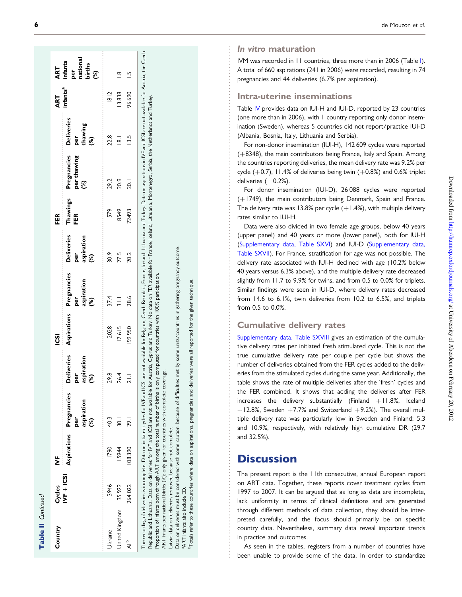| ī |
|---|
|   |
|   |
|   |
|   |
|   |
|   |
|   |
|   |

 $\sigma$ 

| Country               | Cycles      | ξ      |                                                      |                                                         | <b>SSI</b>         |                                                   |                                                         | FER             |                                   |                                                      | ART<br>infants <sup>a</sup> |                                                    |
|-----------------------|-------------|--------|------------------------------------------------------|---------------------------------------------------------|--------------------|---------------------------------------------------|---------------------------------------------------------|-----------------|-----------------------------------|------------------------------------------------------|-----------------------------|----------------------------------------------------|
|                       | $NF + ICSI$ |        | Aspirations Pregnancies<br>aspiration<br>per<br>શ્રી | <b>Deliveries</b><br>aspiration<br>ber<br>$\mathcal{E}$ | <b>Aspirations</b> | Pregnancies<br>aspiration<br>per<br>$\mathcal{E}$ | <b>Deliveries</b><br>aspiration<br>per<br>$\mathcal{E}$ | Thawings<br>FER | Pregnancies<br>per thawing<br>(%) | <b>Deliveries</b><br>per<br>thawing<br>$\mathcal{E}$ |                             | per<br>national<br>births<br>(%)<br>ART<br>infants |
| <b>Jkraine</b>        | 3946        | 1790   | 40.3                                                 | 29.8                                                    | 2028               | 37.4                                              | 30.9                                                    | 579             | 29.2                              | 22.8                                                 | 8 2                         |                                                    |
| United Kingdom 35 922 |             | 15944  | $-30.1$                                              | 26.4                                                    | I7615              | $\frac{1}{2}$                                     | 27.5                                                    | 8549            | 20.9                              | $\overline{8}$                                       | 13838                       |                                                    |
| ⊲⊪                    | 264022      | 108390 | <b>16Z</b>                                           | $\frac{1}{2}$                                           | 99950              | 28.6                                              | 202                                                     | 72493           | 20.1                              | $\frac{13.5}{2}$                                     | 96690                       |                                                    |

Turkey. Republic and Lithuania. Data on deliveries for IVF and ICSI are not available for Austria, Cyprus and Turkey. No data on FER available for France, Iceland, Lithuania, Montenegro, Serbia, the Netherlands and Turkey. Lithuania, Montenegro, Serbia, the Netherlands and Iceland, France, on FER available for participation. Republic and Lithuania. Data on deliveries for IVF and ICSI are not available for Austria, Cyprus and Turkey. No data  $100%$ 

Proportion of infants born through ART among the total number of births is only computed for countries with 100% participation. countries with  $\frac{6}{2}$ Proportion of infants born through ART among the total number of births is only computed

ART infants per national births (%): only given for countries with complete coverage. coverage complete for countries with given f per national births (%): only **ART** infants

on deliveries removed because not complete. Latvia: data on deliveries removed because not complete. Latvia: data

some units/countries in gathering pregnancy outcome. Data on deliveries must be considered with some caution, because of difficulties met by some units/countries in gathering pregnancy outcome.  $\geq$ met because of difficulties caution, some o with Data on deliveries must be considered also include ED. aART infants also include ED.

technique. bTotals refer to these countries where data on aspirations, pregnancies and deliveries were all reported for the given technique. given<sub>1</sub> the  $\frac{6}{5}$ reported  $\overline{\overline{\overline{a}}}$ were and deliveries pregnancies aspirations,  $\mathbf 5$ data where to these countries <sup>a</sup>ART infants a<br><sup>b</sup>Totals refer t In vitro maturation

IVM was recorded in 11 countries, three more than in 2006 (Table [I](#page-2-0)). A total of 660 aspirations (241 in 2006) were recorded, resulting in 74 pregnancies and 44 deliveries (6.7% per aspiration).

### Intra-uterine inseminations

Table [IV](#page-7-0) provides data on IUI-H and IUI-D, reported by 23 countries (one more than in 2006), with 1 country reporting only donor insemination (Sweden), whereas 5 countries did not report/practice IUI-D (Albania, Bosnia, Italy, Lithuania and Serbia).

For non-donor insemination (IUI-H), 142 609 cycles were reported ( +8348), the main contributors being France, Italy and Spain. Among the countries reporting deliveries, the mean delivery rate was 9.2% per cycle  $(+0.7)$ , 11.4% of deliveries being twin  $(+0.8%)$  and 0.6% triplet deliveries  $(-0.2%)$ .

For donor insemination (IUI-D), 26 088 cycles were reported ( +1749), the main contributors being Denmark, Spain and France. The delivery rate was  $13.8\%$  per cycle  $(+1.4\%)$ , with multiple delivery rates similar to IUI-H.

Data were also divided in two female age groups, below 40 years (upper panel) and 40 years or more (lower panel), both for IUI-H ([Supplementary data, Table SXVI](http://humrep.oxfordjournals.org/lookup/suppl/doi:10.1093/humrep/des023/-/DC1)) and IUI-D [\(Supplementary data,](http://humrep.oxfordjournals.org/lookup/suppl/doi:10.1093/humrep/des023/-/DC1) [Table SXVII\)](http://humrep.oxfordjournals.org/lookup/suppl/doi:10.1093/humrep/des023/-/DC1). For France, stratification for age was not possible. The delivery rate associated with IUI-H declined with age (10.2% below 40 years versus 6.3% above), and the multiple delivery rate decreased slightly from 11.7 to 9.9% for twins, and from 0.5 to 0.0% for triplets. Similar findings were seen in IUI-D, where delivery rates decreased from 14.6 to 6.1%, twin deliveries from 10.2 to 6.5%, and triplets from 0.5 to 0.0%.

#### Cumulative delivery rates

[Supplementary data, Table SXVIII](http://humrep.oxfordjournals.org/lookup/suppl/doi:10.1093/humrep/des023/-/DC1) gives an estimation of the cumulative delivery rates per initiated fresh stimulated cycle. This is not the true cumulative delivery rate per couple per cycle but shows the number of deliveries obtained from the FER cycles added to the deliveries from the stimulated cycles during the same year. Additionally, the table shows the rate of multiple deliveries after the 'fresh' cycles and the FER combined. It shows that adding the deliveries after FER increases the delivery substantially  $(Finland +11.8\%)$  Iceland  $+12.8\%$ , Sweden  $+7.7\%$  and Switzerland  $+9.2\%$ ). The overall multiple delivery rate was particularly low in Sweden and Finland: 5.3 and 10.9%, respectively, with relatively high cumulative DR (29.7 and 32.5%).

# **Discussion**

The present report is the 11th consecutive, annual European report on ART data. Together, these reports cover treatment cycles from 1997 to 2007. It can be argued that as long as data are incomplete, lack uniformity in terms of clinical definitions and are generated through different methods of data collection, they should be interpreted carefully, and the focus should primarily be on specific country data. Nevertheless, summary data reveal important trends in practice and outcomes.

As seen in the tables, registers from a number of countries have been unable to provide some of the data. In order to standardize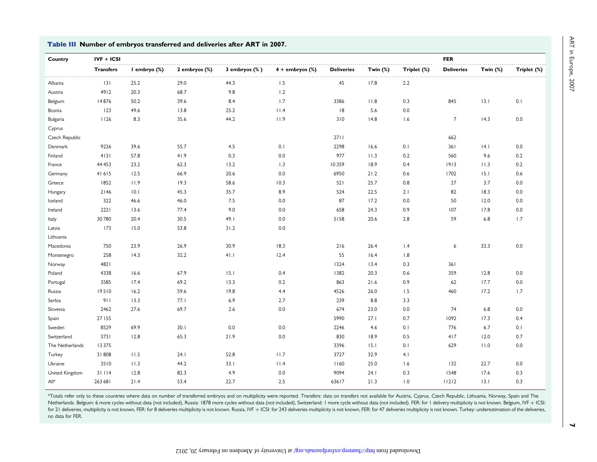| Country         | $IVF + ICSI$     |              |               |                    |                      |                   |            |             | <b>FER</b>        |                |             |
|-----------------|------------------|--------------|---------------|--------------------|----------------------|-------------------|------------|-------------|-------------------|----------------|-------------|
|                 | <b>Transfers</b> | I embryo (%) | 2 embryos (%) | $3$ embryos $(\%)$ | $4 +$ embryos $(\%)$ | <b>Deliveries</b> | Twin $(%)$ | Triplet (%) | <b>Deliveries</b> | Twin $(%)$     | Triplet (%) |
| Albania         | 3                | .<br>25.2    | .<br>29.0     | .<br>44.3          | 1.5                  | 45                | .<br>17.8  | 2.2         |                   |                |             |
| Austria         | 4912             | 20.3         | 68.7          | 9.8                | 1.2                  |                   |            |             |                   |                |             |
| Belgium         | 14876            | 50.2         | 39.6          | 8.4                | 1.7                  | 3386              | 11.8       | 0.3         | 845               | 13.1           | 0.1         |
| Bosnia          | 123              | 49.6         | 13.8          | 25.2               | 11.4                 | 8                 | 5.6        | 0.0         |                   |                |             |
| Bulgaria        | 1126             | 8.3          | 35.6          | 44.2               | 11.9                 | 310               | 4.8        | 1.6         | $\overline{7}$    | 14.3           | 0.0         |
| Cyprus          |                  |              |               |                    |                      |                   |            |             |                   |                |             |
| Czech Republic  |                  |              |               |                    |                      | 2711              |            |             | 662               |                |             |
| Denmark         | 9226             | 39.6         | 55.7          | 4.5                | 0.1                  | 2298              | 16.6       | 0.1         | 361               | 4.1            | 0.0         |
| Finland         | 4131             | 57.8         | 41.9          | 0.3                | 0.0                  | 977               | 11.3       | 0.2         | 560               | 9.6            | 0.2         |
| France          | 44 4 53          | 23.2         | 62.3          | 13.2               | 1.3                  | 10359             | 18.9       | 0.4         | 1913              | 11.3           | 0.2         |
| Germany         | 41615            | 12.5         | 66.9          | 20.6               | 0.0                  | 6950              | 21.2       | 0.6         | 1702              | 15.1           | 0.6         |
| Greece          | 1852             | 11.9         | 19.3          | 58.6               | 10.3                 | 521               | 25.7       | 0.8         | 27                | 3.7            | 0.0         |
| Hungary         | 2146             | 0.1          | 45.3          | 35.7               | 8.9                  | 524               | 22.5       | 2.1         | 82                | 18.3           | 0.0         |
| Iceland         | 322              | 46.6         | 46.0          | 7.5                | 0.0                  | 87                | 17.2       | 0.0         | 50                | 12.0           | 0.0         |
| Ireland         | 2221             | 13.6         | 77.4          | 9.0                | 0.0                  | 658               | 24.3       | 0.9         | 107               | 17.8           | 0.0         |
| Italy           | 30780            | 20.4         | 30.5          | 49.1               | 0.0                  | 5158              | 20.6       | 2.8         | 59                | 6.8            | 1.7         |
| Latvia          | 173              | 15.0         | 53.8          | 31.2               | 0.0                  |                   |            |             |                   |                |             |
| Lithuania       |                  |              |               |                    |                      |                   |            |             |                   |                |             |
| Macedonia       | 750              | 23.9         | 26.9          | 30.9               | 18.3                 | 216               | 26.4       | $\vert A$   | 6                 | 33.3           | 0.0         |
| Montenegro      | 258              | 4.3          | 32.2          | 41.1               | 12.4                 | 55                | 16.4       | 1.8         |                   |                |             |
| Norway          | 4821             |              |               |                    |                      | 1324              | 13.4       | 0.3         | 361               |                |             |
| Poland          | 4338             | 16.6         | 67.9          | 15.1               | 0.4                  | 1382              | 20.3       | 0.6         | 359               | 12.8           | 0.0         |
| Portugal        | 3585             | 17.4         | 69.2          | 13.3               | 0.2                  | 863               | 21.6       | 0.9         | 62                | 17.7           | 0.0         |
| Russia          | 19510            | 16.2         | 59.6          | 19.8               | 4.4                  | 4526              | 26.0       | 1.5         | 460               | 17.2           | 1.7         |
| Serbia          | 911              | 13.3         | 77.1          | 6.9                | 2.7                  | 239               | 8.8        | 3.3         |                   |                |             |
| Slovenia        | 2462             | 27.6         | 69.7          | 2.6                | 0.0                  | 674               | 23.0       | 0.0         | 74                | 6.8            | 0.0         |
| Spain           | 27 155           |              |               |                    |                      | 5990              | 27.1       | 0.7         | 1092              | 17.3           | 0.4         |
| Sweden          | 8529             | 69.9         | 30.1          | 0.0                | 0.0                  | 2246              | 4.6        | 0.1         | 776               | 6.7            | 0.1         |
| Switzerland     | 3731             | 12.8         | 65.3          | 21.9               | 0.0                  | 830               | 18.9       | 0.5         | 417               | 12.0           | 0.7         |
| The Netherlands | 13375            |              |               |                    |                      | 3396              | 15.1       | 0.1         | 629               | $ $ $ $ $ $ .0 | 0.0         |
| Turkey          | 31808            | 11.5         | 24.1          | 52.8               | 11.7                 | 3727              | 32.9       | 4.1         |                   |                |             |
| Ukraine         | 3510             | 11.3         | 44.2          | 33.1               | 11.4                 | 1160              | 25.0       | 1.6         | 132               | 22.7           | 0.0         |
| United Kingdom  | 31114            | 12.8         | 82.3          | 4.9                | 0.0                  | 9094              | 24.1       | 0.3         | 1548              | 17.6           | 0.3         |
| All*            | 263 681          | 21.4         | 53.4          | 22.7               | 2.5                  | 63617             | 21.3       | 1.0         | 11212             | 13.1           | 0.3         |

<span id="page-6-0"></span>Table III Number of embryos transferred and deliveries after ART in 2007.

\*Totals refer only to these countries where data on number of transferred embryos and on multiplicity were reported. Transfers: data on transfers not available for Austria, Cyprus, Czech Republic, Lithuania, Norway, Spain Netherlands. Belgium: 6 more cycles without data (not included), Russia: 1878 more cycles without data (not included), Switzerland: 1 more cycle without data (not included). FER: for 1 delivery multiplicity is not known. B for 21 deliveries, multiplicity is not known, FER: for 8 deliveries multiplicity is not known. Russia, IVF + ICSI: for 243 deliveries multiplicity is not known, FER: for 47 deliveries multiplicity is not known. Turkey: und no data for FER.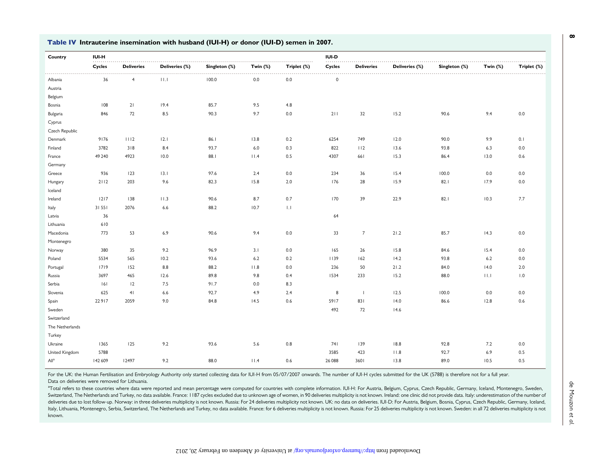| Country                                                                                                                                                             |                            |
|---------------------------------------------------------------------------------------------------------------------------------------------------------------------|----------------------------|
| .<br>Deliveries (%)<br>Singleton (%)<br>Twin $(\%)$<br>Deliveries (%)<br>Singleton (%)<br>Cycles<br><b>Deliveries</b><br>Triplet (%)<br>Cycles<br><b>Deliveries</b> | Twin $(\%)$<br>Triplet (%) |
| .<br>.<br>36<br>$\overline{4}$<br>100.0<br>0.0<br>0.0<br>$\mathbf 0$<br>11.1<br>Albania                                                                             |                            |
| Austria                                                                                                                                                             |                            |
| Belgium                                                                                                                                                             |                            |
| 85.7<br>9.5<br>108<br>21<br>19.4<br>4.8<br>Bosnia                                                                                                                   |                            |
| 72<br>90.3<br>9.7<br>32<br>846<br>8.5<br>0.0<br>211<br>15.2<br>90.6<br>Bulgaria                                                                                     | 9.4<br>0.0                 |
| Cyprus                                                                                                                                                              |                            |
| Czech Republic                                                                                                                                                      |                            |
| Denmark<br>9176<br>1112<br>12.1<br>86.I<br>13.8<br>0.2<br>6254<br>749<br>12.0<br>90.0                                                                               | 9.9<br>0.1                 |
| 822<br>Finland<br>3782<br>318<br>8.4<br>93.7<br>6.0<br>0.3<br>112<br>13.6<br>93.8                                                                                   | 6.3<br>0.0                 |
| 49 240<br>4923<br>10.0<br>88.1<br>11.4<br>0.5<br>4307<br>661<br>15.3<br>86.4<br>France                                                                              | 13.0<br>0.6                |
| Germany                                                                                                                                                             |                            |
| 936<br>123<br>13.1<br>97.6<br>2.4<br>0.0<br>234<br>36<br>15.4<br>100.0<br>Greece                                                                                    | 0.0<br>0.0                 |
| 2112<br>203<br>9.6<br>82.3<br>15.8<br>2.0<br>176<br>28<br>15.9<br>82.1<br>Hungary                                                                                   | 17.9<br>0.0                |
| Iceland                                                                                                                                                             |                            |
| 138<br>8.7<br>0.7<br>170<br>39<br>22.9<br>$1217$<br>11.3<br>90.6<br>82.1<br>Ireland                                                                                 | 7.7<br>10.3                |
| 31551<br>2076<br>88.2<br>10.7<br>$  \cdot  $<br>Italy<br>6.6                                                                                                        |                            |
| 36<br>64<br>Latvia                                                                                                                                                  |                            |
| 610<br>Lithuania                                                                                                                                                    |                            |
| 53<br>$\overline{7}$<br>773<br>6.9<br>90.6<br>9.4<br>0.0<br>33<br>21.2<br>85.7<br>Macedonia                                                                         | 14.3<br>0.0                |
| Montenegro                                                                                                                                                          |                            |
| 380<br>35<br>96.9<br>3.1<br>0.0<br>165<br>15.8<br>9.2<br>26<br>84.6<br>Norway                                                                                       | 15.4<br>0.0                |
| 565<br>1139<br>Poland<br>5534<br>10.2<br>93.6<br>6.2<br>0.2<br>162<br>14.2<br>93.8                                                                                  | 0.0<br>6.2                 |
| 1719<br>152<br>8.8<br>88.2<br>11.8<br>0.0<br>236<br>50<br>21.2<br>84.0<br>Portugal                                                                                  | 14.0<br>2.0                |
| 233<br>3697<br>465<br>12.6<br>89.8<br>9.8<br>0.4<br>1534<br>15.2<br>88.0<br>Russia                                                                                  | 11.1<br>1.0                |
| Serbia<br>12<br>7.5<br>91.7<br>0.0<br>8.3<br> 6                                                                                                                     |                            |
| 625<br>41<br>92.7<br>4.9<br>2.4<br>8<br>12.5<br>100.0<br>Slovenia<br>$\overline{1}$<br>6.6                                                                          | 0.0<br>0.0                 |
| 22917<br>2059<br>84.8<br>14.5<br>0.6<br>5917<br>831<br>86.6<br>Spain<br>9.0<br>14.0                                                                                 | 12.8<br>0.6                |
| 492<br>72<br>Sweden<br>14.6                                                                                                                                         |                            |
| Switzerland                                                                                                                                                         |                            |
| The Netherlands                                                                                                                                                     |                            |
| Turkey                                                                                                                                                              |                            |
| 125<br>93.6<br>0.8<br>18.8<br>Ukraine<br>1365<br>9.2<br>5.6<br>741<br>139<br>92.8                                                                                   | 7.2<br>0.0                 |
| United Kingdom<br>5788<br>3585<br>423<br>11.8<br>92.7                                                                                                               | 0.5<br>6.9                 |
| All <sup>a</sup><br>142 609<br>12497<br>9.2<br>88.0<br>11.4<br>0.6<br>26 088<br>3601<br>13.8<br>89.0                                                                | 10.5<br>0.5                |

#### <span id="page-7-0"></span>Table IV Intrauterine insemination with husband (IUI-H) or donor (IUI-D) semen in 2007.

For the UK: the Human Fertilisation and Embryology Authority only started collecting data for IUI-H from 05/07/2007 onwards. The number of IUI-H cycles submitted for the UK (5788) is therefore not for a full year. Data on deliveries were removed for Lithuania.

<sup>a</sup>Total refers to these countries where data were reported and mean percentage were computed for countries with complete information. IUI-H: For Austria, Belgium, Cyprus, Czech Republic, Germany, Iceland, Montenegro, Swed Switzerland, The Netherlands and Turkey, no data available. France: 1187 cycles excluded due to unknown age of women, in 90 deliveries multiplicity is not known. Ireland: one clinic did not provide data. Italy: underestima deliveries due to lost follow-up. Norway: in three deliveries multiplicity is not known. Russia: For 24 deliveries multiplicity not known. UK: no data on deliveries. IUI-D: For Austria, Belgium, Bosnia, Cyprus, Czech Repub Italy, Lithuania, Montenegro, Serbia, Switzerland, The Netherlands and Turkey, no data available. France: for 6 deliveries multiplicity is not known. Russia: For 25 deliveries multiplicity is not known. Sweden: in all 72 d known.

 $\infty$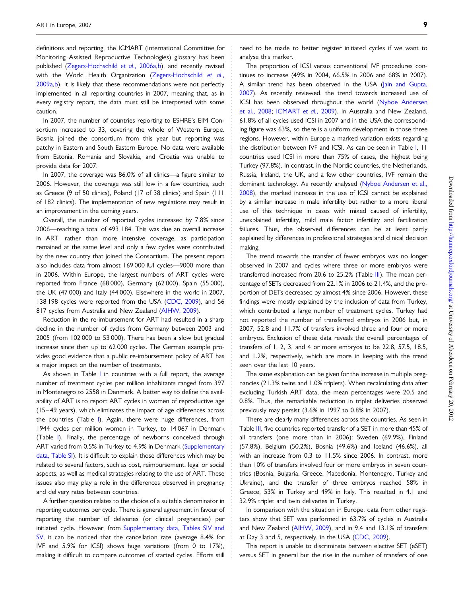definitions and reporting, the ICMART (International Committee for Monitoring Assisted Reproductive Technologies) glossary has been published [\(Zegers-Hochschild](#page-10-0) et al., 2006a[,b\)](#page-10-0), and recently revised with the World Health Organization ([Zegers-Hochschild](#page-10-0) et al., [2009a,b\)](#page-10-0). It is likely that these recommendations were not perfectly implemented in all reporting countries in 2007, meaning that, as in every registry report, the data must still be interpreted with some caution.

In 2007, the number of countries reporting to ESHRE's EIM Consortium increased to 33, covering the whole of Western Europe. Bosnia joined the consortium from this year but reporting was patchy in Eastern and South Eastern Europe. No data were available from Estonia, Romania and Slovakia, and Croatia was unable to provide data for 2007.

In 2007, the coverage was 86.0% of all clinics—a figure similar to 2006. However, the coverage was still low in a few countries, such as Greece (9 of 50 clinics), Poland (17 of 38 clinics) and Spain (111 of 182 clinics). The implementation of new regulations may result in an improvement in the coming years.

Overall, the number of reported cycles increased by 7.8% since 2006—reaching a total of 493 184. This was due an overall increase in ART, rather than more intensive coverage, as participation remained at the same level and only a few cycles were contributed by the new country that joined the Consortium. The present report also includes data from almost 169 000 IUI cycles—9000 more than in 2006. Within Europe, the largest numbers of ART cycles were reported from France (68 000), Germany (62 000), Spain (55 000), the UK (47 000) and Italy (44 000). Elsewhere in the world in 2007, 138 198 cycles were reported from the USA ([CDC, 2009](#page-10-0)), and 56 817 cycles from Australia and New Zealand ([AIHW, 2009\)](#page-10-0).

Reduction in the re-imbursement for ART had resulted in a sharp decline in the number of cycles from Germany between 2003 and 2005 (from 102 000 to 53 000). There has been a slow but gradual increase since then up to 62 000 cycles. The German example provides good evidence that a public re-imbursement policy of ART has a major impact on the number of treatments.

As shown in Table [I](#page-2-0) in countries with a full report, the average number of treatment cycles per million inhabitants ranged from 397 in Montenegro to 2558 in Denmark. A better way to define the availability of ART is to report ART cycles in women of reproductive age (15 –49 years), which eliminates the impact of age differences across the countries (Table [I\)](#page-2-0). Again, there were huge differences, from 1944 cycles per million women in Turkey, to 14 067 in Denmark (Table [I](#page-2-0)). Finally, the percentage of newborns conceived through ART varied from 0.5% in Turkey to 4.9% in Denmark ([Supplementary](http://humrep.oxfordjournals.org/lookup/suppl/doi:10.1093/humrep/des023/-/DC1) [data, Table SI\)](http://humrep.oxfordjournals.org/lookup/suppl/doi:10.1093/humrep/des023/-/DC1). It is difficult to explain those differences which may be related to several factors, such as cost, reimbursement, legal or social aspects, as well as medical strategies relating to the use of ART. These issues also may play a role in the differences observed in pregnancy and delivery rates between countries.

A further question relates to the choice of a suitable denominator in reporting outcomes per cycle. There is general agreement in favour of reporting the number of deliveries (or clinical pregnancies) per initiated cycle. However, from [Supplementary data, Tables SIV and](http://humrep.oxfordjournals.org/lookup/suppl/doi:10.1093/humrep/des023/-/DC1) [SV,](http://humrep.oxfordjournals.org/lookup/suppl/doi:10.1093/humrep/des023/-/DC1) it can be noticed that the cancellation rate (average 8.4% for IVF and 5.9% for ICSI) shows huge variations (from 0 to 17%), making it difficult to compare outcomes of started cycles. Efforts still

need to be made to better register initiated cycles if we want to analyse this marker.

The proportion of ICSI versus conventional IVF procedures continues to increase (49% in 2004, 66.5% in 2006 and 68% in 2007). A similar trend has been observed in the USA ([Jain and Gupta,](#page-10-0) [2007](#page-10-0)). As recently reviewed, the trend towards increased use of ICSI has been observed throughout the world ([Nyboe Andersen](#page-10-0) [et al., 2008](#page-10-0); [ICMART](#page-10-0) et al., 2009). In Australia and New Zealand, 61.8% of all cycles used ICSI in 2007 and in the USA the corresponding figure was 63%, so there is a uniform development in those three regions. However, within Europe a marked variation exists regarding the distribution between IVF and ICSI. As can be seen in Table [I,](#page-2-0) 11 countries used ICSI in more than 75% of cases, the highest being Turkey (97.8%). In contrast, in the Nordic countries, the Netherlands, Russia, Ireland, the UK, and a few other countries, IVF remain the dominant technology. As recently analysed [\(Nyboe Andersen et al.,](#page-10-0) [2008](#page-10-0)), the marked increase in the use of ICSI cannot be explained by a similar increase in male infertility but rather to a more liberal use of this technique in cases with mixed caused of infertility, unexplained infertility, mild male factor infertility and fertilization failures. Thus, the observed differences can be at least partly explained by differences in professional strategies and clinical decision making.

The trend towards the transfer of fewer embryos was no longer observed in 2007 and cycles where three or more embryos were transferred increased from 20.6 to 25.2% (Table [III\)](#page-6-0). The mean percentage of SETs decreased from 22.1% in 2006 to 21.4%, and the proportion of DETs decreased by almost 4% since 2006. However, these findings were mostly explained by the inclusion of data from Turkey, which contributed a large number of treatment cycles. Turkey had not reported the number of transferred embryos in 2006 but, in 2007, 52.8 and 11.7% of transfers involved three and four or more embryos. Exclusion of these data reveals the overall percentages of transfers of 1, 2, 3, and 4 or more embryos to be 22.8, 57.5, 18.5, and 1.2%, respectively, which are more in keeping with the trend seen over the last 10 years.

The same explanation can be given for the increase in multiple pregnancies (21.3% twins and 1.0% triplets). When recalculating data after excluding Turkish ART data, the mean percentages were 20.5 and 0.8%. Thus, the remarkable reduction in triplet deliveries observed previously may persist (3.6% in 1997 to 0.8% in 2007).

There are clearly many differences across the countries. As seen in Table [III](#page-6-0), five countries reported transfer of a SET in more than 45% of all transfers (one more than in 2006): Sweden (69.9%), Finland (57.8%), Belgium (50.2%), Bosnia (49.6%) and Iceland (46.6%), all with an increase from 0.3 to 11.5% since 2006. In contrast, more than 10% of transfers involved four or more embryos in seven countries (Bosnia, Bulgaria, Greece, Macedonia, Montenegro, Turkey and Ukraine), and the transfer of three embryos reached 58% in Greece, 53% in Turkey and 49% in Italy. This resulted in 4.1 and 32.9% triplet and twin deliveries in Turkey.

In comparison with the situation in Europe, data from other registers show that SET was performed in 63.7% of cycles in Australia and New Zealand [\(AIHW, 2009](#page-10-0)), and in 9.4 and 13.1% of transfers at Day 3 and 5, respectively, in the USA [\(CDC, 2009](#page-10-0)).

This report is unable to discriminate between elective SET (eSET) versus SET in general but the rise in the number of transfers of one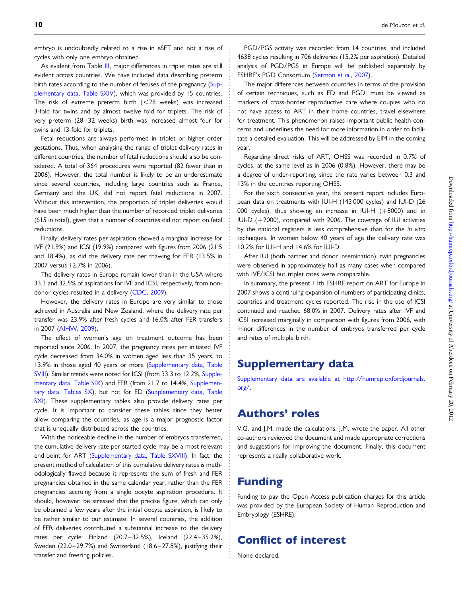embryo is undoubtedly related to a rise in eSET and not a rise of cycles with only one embryo obtained.

As evident from Table [III](#page-6-0), major differences in triplet rates are still evident across countries. We have included data describing preterm birth rates according to the number of fetuses of the pregnancy ([Sup](http://humrep.oxfordjournals.org/lookup/suppl/doi:10.1093/humrep/des023/-/DC1)[plementary data, Table SXIV\)](http://humrep.oxfordjournals.org/lookup/suppl/doi:10.1093/humrep/des023/-/DC1), which was provided by 15 countries. The risk of extreme preterm birth  $(<$  28 weeks) was increased 3-fold for twins and by almost twelve fold for triplets. The risk of very preterm (28-32 weeks) birth was increased almost four for twins and 13-fold for triplets.

Fetal reductions are always performed in triplet or higher order gestations. Thus, when analysing the range of triplet delivery rates in different countries, the number of fetal reductions should also be considered. A total of 364 procedures were reported (82 fewer than in 2006). However, the total number is likely to be an underestimate since several countries, including large countries such as France, Germany and the UK, did not report fetal reductions in 2007. Without this intervention, the proportion of triplet deliveries would have been much higher than the number of recorded triplet deliveries (615 in total), given that a number of countries did not report on fetal reductions.

Finally, delivery rates per aspiration showed a marginal increase for IVF (21.9%) and ICSI (19.9%) compared with figures from 2006 (21.5 and 18.4%), as did the delivery rate per thawing for FER (13.5% in 2007 versus 12.7% in 2006).

The delivery rates in Europe remain lower than in the USA where 33.3 and 32.5% of aspirations for IVF and ICSI, respectively, from nondonor cycles resulted in a delivery [\(CDC, 2009\)](#page-10-0).

However, the delivery rates in Europe are very similar to those achieved in Australia and New Zealand, where the delivery rate per transfer was 23.9% after fresh cycles and 16.0% after FER transfers in 2007 [\(AIHW, 2009](#page-10-0)).

The effect of women's age on treatment outcome has been reported since 2006. In 2007, the pregnancy rates per initiated IVF cycle decreased from 34.0% in women aged less than 35 years, to 13.9% in those aged 40 years or more [\(Supplementary data, Table](http://humrep.oxfordjournals.org/lookup/suppl/doi:10.1093/humrep/des023/-/DC1) [SVIII](http://humrep.oxfordjournals.org/lookup/suppl/doi:10.1093/humrep/des023/-/DC1)). Similar trends were noted for ICSI (from 33.3 to 12.2%, [Supple](http://humrep.oxfordjournals.org/lookup/suppl/doi:10.1093/humrep/des023/-/DC1)[mentary data, Table SIX\)](http://humrep.oxfordjournals.org/lookup/suppl/doi:10.1093/humrep/des023/-/DC1) and FER (from 21.7 to 14.4%, [Supplemen](http://humrep.oxfordjournals.org/lookup/suppl/doi:10.1093/humrep/des023/-/DC1)[tary data, Tables SX](http://humrep.oxfordjournals.org/lookup/suppl/doi:10.1093/humrep/des023/-/DC1)), but not for ED [\(Supplementary data, Table](http://humrep.oxfordjournals.org/lookup/suppl/doi:10.1093/humrep/des023/-/DC1) [SXI\)](http://humrep.oxfordjournals.org/lookup/suppl/doi:10.1093/humrep/des023/-/DC1). These supplementary tables also provide delivery rates per cycle. It is important to consider these tables since they better allow comparing the countries, as age is a major prognostic factor that is unequally distributed across the countries.

With the noticeable decline in the number of embryos transferred, the cumulative delivery rate per started cycle may be a most relevant end-point for ART [\(Supplementary data, Table SXVIII](http://humrep.oxfordjournals.org/lookup/suppl/doi:10.1093/humrep/des023/-/DC1)). In fact, the present method of calculation of this cumulative delivery rates is methodologically flawed because it represents the sum of fresh and FER pregnancies obtained in the same calendar year, rather than the FER pregnancies accruing from a single oocyte aspiration procedure. It should, however, be stressed that the precise figure, which can only be obtained a few years after the initial oocyte aspiration, is likely to be rather similar to our estimate. In several countries, the addition of FER deliveries contributed a substantial increase to the delivery rates per cycle: Finland (20.7 –32.5%), Iceland (22.4 –35.2%), Sweden (22.0-29.7%) and Switzerland (18.6-27.8%), justifying their transfer and freezing policies.

PGD/PGS activity was recorded from 14 countries, and included 4638 cycles resulting in 706 deliveries (15.2% per aspiration). Detailed analysis of PGD/PGS in Europe will be published separately by ESHRE's PGD Consortium [\(Sermon](#page-10-0) et al., 2007).

The major differences between countries in terms of the provision of certain techniques, such as ED and PGD, must be viewed as markers of cross-border reproductive care where couples who do not have access to ART in their home countries, travel elsewhere for treatment. This phenomenon raises important public health concerns and underlines the need for more information in order to facilitate a detailed evaluation. This will be addressed by EIM in the coming year.

Regarding direct risks of ART, OHSS was recorded in 0.7% of cycles, at the same level as in 2006 (0.8%). However, there may be a degree of under-reporting, since the rate varies between 0.3 and 13% in the countries reporting OHSS.

For the sixth consecutive year, the present report includes European data on treatments with IUI-H (143 000 cycles) and IUI-D (26 000 cycles), thus showing an increase in IUI-H  $(+8000)$  and in IUI-D (+2000), compared with 2006. The coverage of IUI activities by the national registers is less comprehensive than for the in vitro techniques. In women below 40 years of age the delivery rate was 10.2% for IUI-H and 14.6% for IUI-D.

After IUI (both partner and donor insemination), twin pregnancies were observed in approximately half as many cases when compared with IVF/ICSI but triplet rates were comparable.

In summary, the present 11th ESHRE report on ART for Europe in 2007 shows a continuing expansion of numbers of participating clinics, countries and treatment cycles reported. The rise in the use of ICSI continued and reached 68.0% in 2007. Delivery rates after IVF and ICSI increased marginally in comparison with figures from 2006, with minor differences in the number of embryos transferred per cycle and rates of multiple birth.

# Supplementary data

[Supplementary data are available at http://humrep.oxfordjournals.](http://humrep.oxfordjournals.org/lookup/suppl/doi:10.1093/humrep/des023/-/DC1) [org/.](http://humrep.oxfordjournals.org/lookup/suppl/doi:10.1093/humrep/des023/-/DC1)

# Authors' roles

V.G. and J.M. made the calculations. J.M. wrote the paper. All other co-authors reviewed the document and made appropriate corrections and suggestions for improving the document. Finally, this document represents a really collaborative work.

# Funding

Funding to pay the Open Access publication charges for this article was provided by the European Society of Human Reproduction and Embryology (ESHRE).

# Conflict of interest

None declared.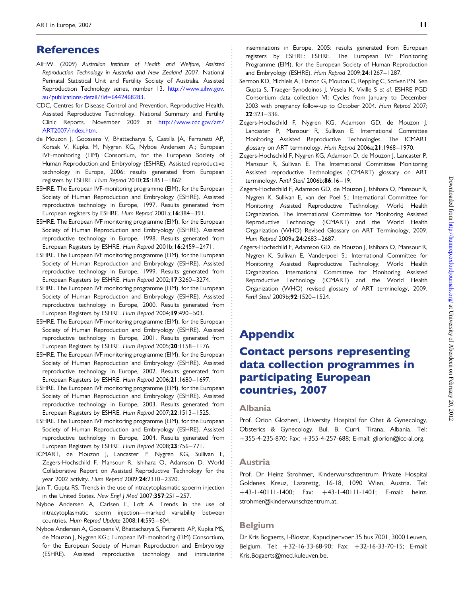# <span id="page-10-0"></span>References

- AIHW. (2009) Australian Institute of Health and Welfare, Assisted Reproduction Technology in Australia and New Zealand 2007. National Perinatal Statistical Unit and Fertility Society of Australia. Assisted Reproduction Technology series, number 13. [http://www.aihw.gov.](http://www.aihw.gov.au/publications-detail/?id=6442468283) [au/publications-detail/?id=6442468283](http://www.aihw.gov.au/publications-detail/?id=6442468283).
- CDC, Centres for Disease Control and Prevention. Reproductive Health. Assisted Reproductive Technology. National Summary and Fertility Clinic Reports. November 2009 at [http://www.cdc.gov/art/](http://www.cdc.gov/art/ART2007/index.htm) [ART2007/index.htm.](http://www.cdc.gov/art/ART2007/index.htm)
- de Mouzon J, Goossens V, Bhattacharya S, Castilla JA, Ferraretti AP, Korsak V, Kupka M, Nygren KG, Nyboe Andersen A.; European IVF-monitoring (EIM) Consortium, for the European Society of Human Reproduction and Embryology (ESHRE). Assisted reproductive technology in Europe, 2006: results generated from European registers by ESHRE. Hum Reprod 2010;25:1851– 1862.
- ESHRE. The European IVF-monitoring programme (EIM), for the European Society of Human Reproduction and Embryology (ESHRE). Assisted reproductive technology in Europe, 1997. Results generated from European registers by ESHRE. Hum Reprod 2001a; 16:384-391.
- ESHRE. The European IVF monitoring programme (EIM), for the European Society of Human Reproduction and Embryology (ESHRE). Assisted reproductive technology in Europe, 1998. Results generated from European Registers by ESHRE. Hum Reprod 2001b;16:2459 – 2471.
- ESHRE. The European IVF monitoring programme (EIM), for the European Society of Human Reproduction and Embryology (ESHRE). Assisted reproductive technology in Europe, 1999. Results generated from European Registers by ESHRE. Hum Reprod 2002;17:3260– 3274.
- ESHRE. The European IVF monitoring programme (EIM), for the European Society of Human Reproduction and Embryology (ESHRE). Assisted reproductive technology in Europe, 2000. Results generated from European Registers by ESHRE. Hum Reprod 2004; 19:490-503.
- ESHRE. The European IVF monitoring programme (EIM), for the European Society of Human Reproduction and Embryology (ESHRE). Assisted reproductive technology in Europe, 2001. Results generated from European Registers by ESHRE. Hum Reprod 2005;20:1158– 1176.
- ESHRE. The European IVF monitoring programme (EIM), for the European Society of Human Reproduction and Embryology (ESHRE). Assisted reproductive technology in Europe, 2002. Results generated from European Registers by ESHRE. Hum Reprod 2006;21:1680– 1697.
- ESHRE. The European IVF monitoring programme (EIM), for the European Society of Human Reproduction and Embryology (ESHRE). Assisted reproductive technology in Europe, 2003. Results generated from European Registers by ESHRE. Hum Reprod 2007;22:1513– 1525.
- ESHRE. The European IVF monitoring programme (EIM), for the European Society of Human Reproduction and Embryology (ESHRE). Assisted reproductive technology in Europe, 2004. Results generated from European Registers by ESHRE. Hum Reprod 2008;23:756– 771.
- ICMART, de Mouzon J, Lancaster P, Nygren KG, Sullivan E, Zegers-Hochschild F, Mansour R, Ishihara O, Adamson D. World Collaborative Report on Assisted Reproductive Technology for the year 2002 activity. Hum Reprod 2009;24:2310-2320.
- Jain T, Gupta RS. Trends in the use of intracytoplasmatic spoerm injection in the United States. New Engl  $J$  Med 2007;357:251-257.
- Nyboe Andersen A, Carlsen E, Loft A. Trends in the use of intracytoplasmatic sperm injection—marked variability between countries. Hum Reprod Update 2008;14:593 – 604.
- Nyboe Andersen A, Goossens V, Bhattacharya S, Ferraretti AP, Kupka MS, de Mouzon J, Nygren KG.; European IVF-monitoring (EIM) Consortium, for the European Society of Human Reproduction and Embryology (ESHRE). Assisted reproductive technology and intrauterine

inseminations in Europe, 2005: results generated from European registers by ESHRE: ESHRE. The European IVF Monitoring Programme (EIM), for the European Society of Human Reproduction and Embryology (ESHRE). Hum Reprod 2009;24:1267– 1287.

- Sermon KD, Michiels A, Harton G, Mouton C, Repping C, Scriven PN, Sen Gupta S, Traeger-Synodoinos J, Vesela K, Viville S et al. ESHRE PGD Consortium data collection VI: Cycles from January to December 2003 with pregnancy follow-up to October 2004. Hum Reprod 2007; 22:323– 336.
- Zegers-Hochschild F, Nygren KG, Adamson GD, de Mouzon J, Lancaster P, Mansour R, Sullivan E. International Committee Monitoring Assisted Reproductive Technologies. The ICMART glossary on ART terminology. Hum Reprod 2006a;21:1968– 1970.
- Zegers-Hochschild F, Nygren KG, Adamson D, de Mouzon J, Lancaster P, Mansour R, Sullivan E. The International Committee Monitoring Assisted reproductive Technologies (ICMART) glossary on ART terminology. Fertil Steril 2006b;86:16-19.
- Zegers-Hochschild F, Adamson GD, de Mouzon J, Ishihara O, Mansour R, Nygren K, Sullivan E, van der Poel S.; International Committee for Monitoring Assisted Reproductive Technology; World Health Organization. The International Committee for Monitoring Assisted Reproductive Technology (ICMART) and the World Health Organization (WHO) Revised Glossary on ART Terminology, 2009. Hum Reprod 2009a; 24:2683-2687.
- Zegers-Hochschild F, Adamson GD, de Mouzon J, Ishihara O, Mansour R, Nygren K, Sullivan E, Vanderpoel S.; International Committee for Monitoring Assisted Reproductive Technology; World Health Organization. International Committee for Monitoring Assisted Reproductive Technology (ICMART) and the World Health Organization (WHO) revised glossary of ART terminology, 2009. Fertil Steril 2009b; 92:1520-1524.

# Appendix

# Contact persons representing data collection programmes in participating European countries, 2007

#### Albania

Prof. Orion Glozheni, University Hospital for Obst & Gynecology, Obsterics & Gynecology. Bul. B. Curri, Tirana, Albania. Tel: +355-4-235-870; Fax: +355-4-257-688; E-mail: gliorion@icc-al.org.

#### Austria

Prof. Dr Heinz Strohmer, Kinderwunschzentrum Private Hospital Goldenes Kreuz, Lazarettg, 16-18, 1090 Wien, Austria. Tel: +43-1-40111-1400; Fax: +43-1-40111-1401; E-mail: heinz. strohmer@kinderwunschzentrum.at.

#### Belgium

Dr Kris Bogaerts, I-Biostat, Kapucijnenvoer 35 bus 7001, 3000 Leuven, Belgium. Tel: +32-16-33-68-90; Fax: +32-16-33-70-15; E-mail: Kris.Bogaerts@med.kuleuven.be.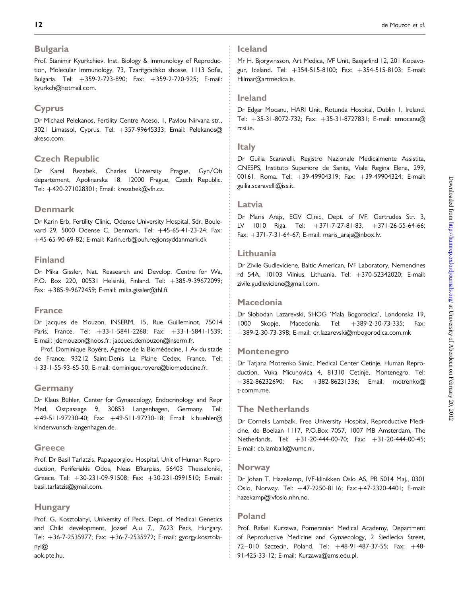#### Bulgaria

Prof. Stanimir Kyurkchiev, Inst. Biology & Immunology of Reproduction, Molecular Immunology, 73, Tzaritgradsko shosse, 1113 Sofia, Bulgaria. Tel: +359-2-723-890; Fax: +359-2-720-925; E-mail: kyurkch@hotmail.com.

### Cyprus

Dr Michael Pelekanos, Fertility Centre Aceso, 1, Pavlou Nirvana str., 3021 Limassol, Cyprus. Tel: +357-99645333; Email: Pelekanos@ akeso.com.

### Czech Republic

Dr Karel Rezabek, Charles University Prague, Gyn/Ob departement, Apolinarska 18, 12000 Prague, Czech Republic. Tel: +420-271028301; Email: krezabek@vfn.cz.

### Denmark

Dr Karin Erb, Fertility Clinic, Odense University Hospital, Sdr. Boulevard 29, 5000 Odense C, Denmark. Tel: +45-65-41-23-24; Fax: +45-65-90-69-82; E-mail: Karin.erb@ouh.regionsyddanmark.dk

### Finland

Dr Mika Gissler, Nat. Reasearch and Develop. Centre for Wa, P.O. Box 220, 00531 Helsinki, Finland. Tel: +385-9-39672099; Fax: +385-9-9672459; E-mail: mika.gissler@thl.fi.

#### France

Dr Jacques de Mouzon, INSERM, 15, Rue Guilleminot, 75014 Paris, France. Tel: +33-1-5841-2268; Fax: +33-1-5841-1539; E-mail: jdemouzon@noos.fr; jacques.demouzon@inserm.fr.

Prof. Dominique Royère, Agence de la Biomédecine, 1 Av du stade de France, 93212 Saint-Denis La Plaine Cedex, France. Tel: +33-1-55-93-65-50; E-mail: dominique.royere@biomedecine.fr.

### Germany

Dr Klaus Bühler, Center for Gynaecology, Endocrinology and Repr Med, Ostpassage 9, 30853 Langenhagen, Germany. Tel: +49-511-97230-40; Fax: +49-511-97230-18; Email: k.buehler@ kinderwunsch-langenhagen.de.

### **Greece**

Prof. Dr Basil Tarlatzis, Papageorgiou Hospital, Unit of Human Reproduction, Periferiakis Odos, Neas Efkarpias, 56403 Thessaloniki, Greece. Tel: +30-231-09-91508; Fax: +30-231-0991510; E-mail: basil.tarlatzis@gmail.com.

# **Hungary**

Prof. G. Kosztolanyi, University of Pecs, Dept. of Medical Genetics and Child development, Jozsef A.u 7., 7623 Pecs, Hungary. Tel: +36-7-2535977; Fax: +36-7-2535972; E-mail: gyorgy.kosztolanyi@ aok.pte.hu.

#### Iceland

Mr H. Bjorgvinsson, Art Medica, IVF Unit, Baejarlind 12, 201 Kopavogur, Iceland. Tel: +354-515-8100; Fax: +354-515-8103; E-mail: Hilmar@artmedica.is.

#### Ireland

Dr Edgar Mocanu, HARI Unit, Rotunda Hospital, Dublin 1, Ireland. Tel: +35-31-8072-732; Fax: +35-31-8727831; E-mail: emocanu@ rcsi.ie.

#### **Italy**

Dr Guilia Scaravelli, Registro Nazionale Medicalmente Assistita, CNESPS, Instituto Superiore de Sanita, Viale Regina Elena, 299, 00161, Roma. Tel: +39-49904319; Fax: +39-49904324; E-mail: guilia.scaravelli@iss.it.

#### Latvia

Dr Maris Arajs, EGV Clinic, Dept. of IVF, Gertrudes Str. 3, LV 1010 Riga. Tel: +371-7-27-81-83, +371-26-55-64-66; Fax: +371-7-31-64-67; E-mail: maris\_arajs@inbox.lv.

### Lithuania

Dr Zivile Gudleviciene, Baltic American, IVF Laboratory, Nemencines rd 54A, 10103 Vilnius, Lithuania. Tel: +370-52342020; E-mail: zivile.gudleviciene@gmail.com.

#### Macedonia

Dr Slobodan Lazarevski, SHOG 'Mala Bogorodica', Londonska 19, 1000 Skopje, Macedonia. Tel: +389-2-30-73-335; Fax: +389-2-30-73-398; E-mail: dr.lazarevski@mbogorodica.com.mk

### Montenegro

Dr Tatjana Motrenko Simic, Medical Center Cetinje, Human Reproduction, Vuka Micunovica 4, 81310 Cetinje, Montenegro. Tel: +382-86232690; Fax: +382-86231336; Email: motrenko@ t-comm.me.

#### The Netherlands

Dr Cornelis Lambalk, Free University Hospital, Reproductive Medicine, de Boelaan 1117, P.O.Box 7057, 1007 MB Amsterdam, The Netherlands. Tel: +31-20-444-00-70; Fax: +31-20-444-00-45; E-mail: cb.lambalk@vumc.nl.

#### **Norway**

Dr Johan T. Hazekamp, IVF-klinikken Oslo AS, PB 5014 Maj., 0301 Oslo, Norway. Tel: +47-2250-8116; Fax:+47-2320-4401; E-mail: hazekamp@ivfoslo.nhn.no.

### Poland

Prof. Rafael Kurzawa, Pomeranian Medical Academy, Department of Reproductive Medicine and Gynaecology, 2 Siedlecka Street, 72– 010 Szczecin, Poland. Tel: +48-91-487-37-55; Fax: +48- 91-425-33-12; E-mail: Kurzawa@ams.edu.pl.